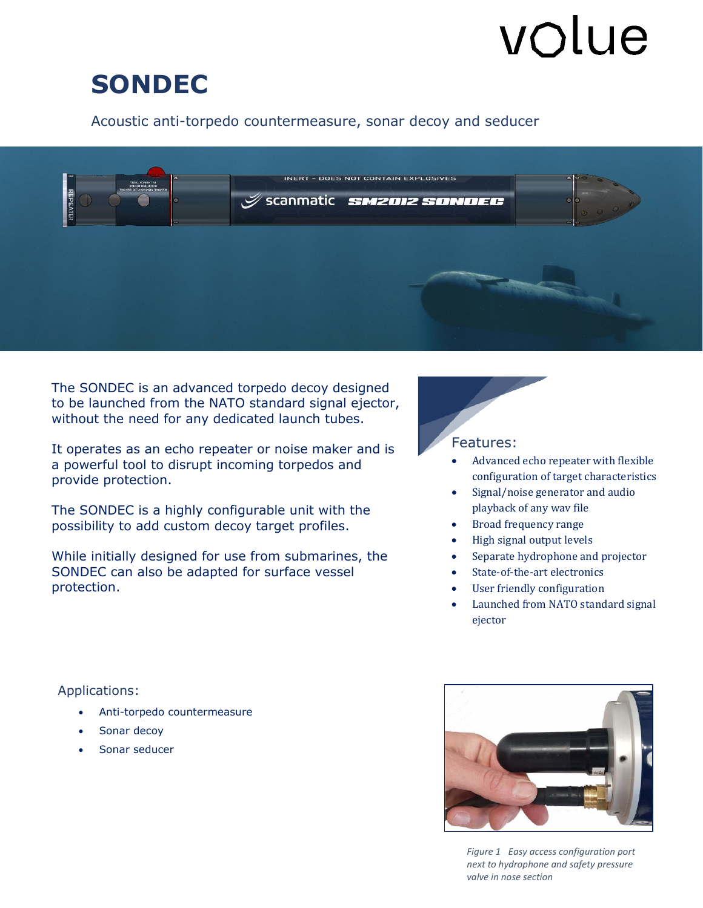# volue

# **SONDEC**

## Acoustic anti-torpedo countermeasure, sonar decoy and seducer



to be lauficited from the NATO standard sighal eji<br>without the need for any dedicated launch tubes. The SONDEC is an advanced torpedo decoy designed to be launched from the NATO standard signal ejector,

 provide protection. It operates as an echo repeater or noise maker and is a powerful tool to disrupt incoming torpedos and

The SONDEC is a highly configurable unit with the possibility to add custom decoy target profiles.

While initially designed for use from submarines, the SONDEC can also be adapted for surface vessel protection.

### Features:

- Advanced echo repeater with flexible configuration of target characteristics
- Signal/noise generator and audio playback of any wav file
- Broad frequency range
- High signal output levels
- Separate hydrophone and projector
- State-of-the-art electronics
- User friendly configuration
- Launched from NATO standard signal ejector

Applications:

- Anti-torpedo countermeasure
- Sonar decoy
- Sonar seducer



*Figure 1 Easy access configuration port next to hydrophone and safety pressure valve in nose section*